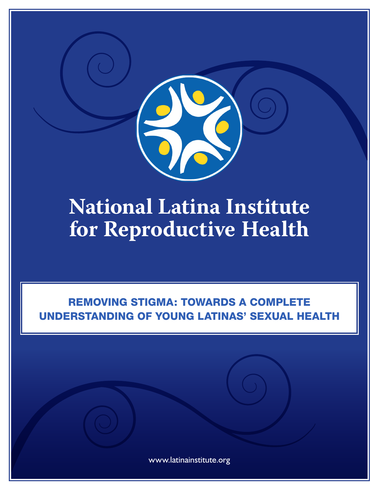

# **National Latina Institute for Reproductive Health**

## REMOVING STIGMA: TOWARDS A COMPLETE UNDERSTANDING OF YOUNG LATINAS' SEXUAL HEALTH

www.latinainstitute.org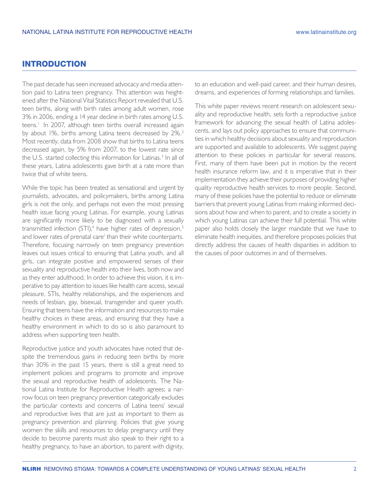## INTRODUCTION

The past decade has seen increased advocacy and media attention paid to Latina teen pregnancy. This attention was heightened after the National Vital Statistics Report revealed that U.S. teen births, along with birth rates among adult women, rose 3% in 2006, ending a 14 year decline in birth rates among U.S. teens.<sup>1</sup> In 2007, although teen births overall increased again by about 1%, births among Latina teens decreased by 2%.<sup>2</sup> Most recently, data from 2008 show that births to Latina teens decreased again, by 5% from 2007, to the lowest rate since the U.S. started collecting this information for Latinas.<sup>3</sup> In all of these years, Latina adolescents gave birth at a rate more than twice that of white teens.

While the topic has been treated as sensational and urgent by journalists, advocates, and policymakers, births among Latina girls is not the only, and perhaps not even the most pressing health issue facing young Latinas. For example, young Latinas are significantly more likely to be diagnosed with a sexually transmitted infection (STI),<sup>4</sup> have higher rates of depression,<sup>5</sup> and lower rates of prenatal care<sup>1</sup> than their white counterparts. Therefore, focusing narrowly on teen pregnancy prevention leaves out issues critical to ensuring that Latina youth, and all girls, can integrate positive and empowered senses of their sexuality and reproductive health into their lives, both now and as they enter adulthood. In order to achieve this vision, it is imperative to pay attention to issues like health care access, sexual pleasure, STIs, healthy relationships, and the experiences and needs of lesbian, gay, bisexual, transgender and queer youth. Ensuring that teens have the information and resources to make healthy choices in these areas, and ensuring that they have a healthy environment in which to do so is also paramount to address when supporting teen health.

Reproductive justice and youth advocates have noted that despite the tremendous gains in reducing teen births by more than 30% in the past 15 years, there is still a great need to implement policies and programs to promote and improve the sexual and reproductive health of adolescents. The National Latina Institute for Reproductive Health agrees; a narrow focus on teen pregnancy prevention categorically excludes the particular contexts and concerns of Latina teens' sexual and reproductive lives that are just as important to them as pregnancy prevention and planning. Policies that give young women the skills and resources to delay pregnancy until they decide to become parents must also speak to their right to a healthy pregnancy, to have an abortion, to parent with dignity,

to an education and well-paid career, and their human desires, dreams, and experiences of forming relationships and families.

This white paper reviews recent research on adolescent sexuality and reproductive health, sets forth a reproductive justice framework for advancing the sexual health of Latina adolescents, and lays out policy approaches to ensure that communities in which healthy decisions about sexuality and reproduction are supported and available to adolescents. We suggest paying attention to these policies in particular for several reasons. First, many of them have been put in motion by the recent health insurance reform law, and it is imperative that in their implementation they achieve their purposes of providing higher quality reproductive health services to more people. Second, many of these policies have the potential to reduce or eliminate barriers that prevent young Latinas from making informed decisions about how and when to parent, and to create a society in which young Latinas can achieve their full potential. This white paper also holds closely the larger mandate that we have to eliminate health inequities, and therefore proposes policies that directly address the causes of health disparities in addition to the causes of poor outcomes in and of themselves.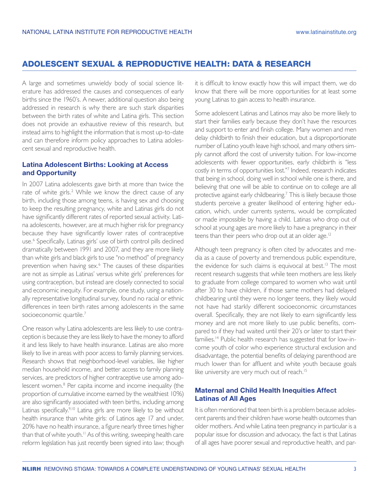## ADOLESCENT SEXUAL & REPRODUCTIVE HEALTH: DATA & RESEARCH

A large and sometimes unwieldy body of social science literature has addressed the causes and consequences of early births since the 1960's. A newer, additional question also being addressed in research is why there are such stark disparities between the birth rates of white and Latina girls. This section does not provide an exhaustive review of this research, but instead aims to highlight the information that is most up-to-date and can therefore inform policy approaches to Latina adolescent sexual and reproductive health.

## **Latina Adolescent Births: Looking at Access and Opportunity**

In 2007 Latina adolescents gave birth at more than twice the rate of white girls.<sup>2</sup> While we know the direct cause of any birth, including those among teens, is having sex and choosing to keep the resulting pregnancy, white and Latinas girls do not have significantly different rates of reported sexual activity. Latina adolescents, however, are at much higher risk for pregnancy because they have significantly lower rates of contraceptive use.6 Specifically, Latinas girls' use of birth control pills declined dramatically between 1991 and 2007, and they are more likely than white girls and black girls to use "no method" of pregnancy prevention when having sex.<sup>6</sup> The causes of these disparities are not as simple as Latinas' versus white girls' preferences for using contraception, but instead are closely connected to social and economic inequity. For example, one study, using a nationally representative longitudinal survey, found no racial or ethnic differences in teen birth rates among adolescents in the same socioeconomic quartile.<sup>7</sup>

One reason why Latina adolescents are less likely to use contraception is because they are less likely to have the money to afford it and less likely to have health insurance. Latinas are also more likely to live in areas with poor access to family planning services. Research shows that neighborhood-level variables, like higher median household income, and better access to family planning services, are predictors of higher contraceptive use among adolescent women.<sup>8</sup> Per capita income and income inequality (the proportion of cumulative income earned by the wealthiest 10%) are also significantly associated with teen births, including among Latinas specifically.<sup>9,10</sup> Latina girls are more likely to be without health insurance than white girls: of Latinos age 17 and under, 20% have no health insurance, a figure nearly three times higher than that of white youth.<sup>11</sup> As of this writing, sweeping health care reform legislation has just recently been signed into law; though

it is difficult to know exactly how this will impact them, we do know that there will be more opportunities for at least some young Latinas to gain access to health insurance.

Some adolescent Latinas and Latinos may also be more likely to start their families early because they don't have the resources and support to enter and finish college. Many women and men delay childbirth to finish their education, but a disproportionate number of Latino youth leave high school, and many others simply cannot afford the cost of university tuition. For low-income adolescents with fewer opportunities, early childbirth is "less costly in terms of opportunities lost."7 Indeed, research indicates that being in school, doing well in school while one is there, and believing that one will be able to continue on to college are all protective against early childbearing.<sup>7</sup> This is likely because those students perceive a greater likelihood of entering higher education, which, under currents systems, would be complicated or made impossible by having a child. Latinas who drop out of school at young ages are more likely to have a pregnancy in their teens than their peers who drop out at an older age.<sup>12</sup>

Although teen pregnancy is often cited by advocates and media as a cause of poverty and tremendous public expenditure, the evidence for such claims is equivocal at best.<sup>13</sup> The most recent research suggests that while teen mothers are less likely to graduate from college compared to women who wait until after 30 to have children, if those same mothers had delayed childbearing until they were no longer teens, they likely would not have had starkly different socioeconomic circumstances overall. Specifically, they are not likely to earn significantly less money and are not more likely to use public benefits, compared to if they had waited until their 20's or later to start their families.14 Public health research has suggested that for low-income youth of color who experience structural exclusion and disadvantage, the potential benefits of delaying parenthood are much lower than for affluent and white youth because goals like university are very much out of reach.<sup>15</sup>

## **Maternal and Child Health Inequities Affect Latinas of All Ages**

It is often mentioned that teen birth is a problem because adolescent parents and their children have worse health outcomes than older mothers. And while Latina teen pregnancy in particular is a popular issue for discussion and advocacy, the fact is that Latinas of all ages have poorer sexual and reproductive health, and par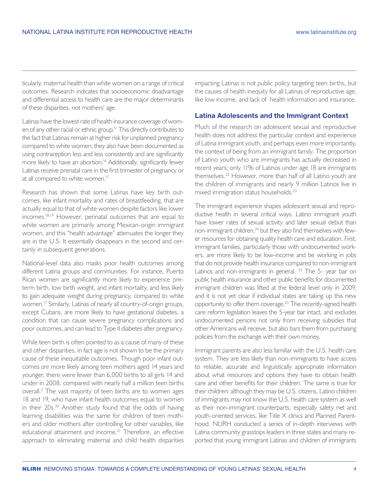ticularly, maternal health than white women on a range of critical outcomes. Research indicates that socioeconomic disadvantage and differential access to health care are the major determinants of these disparities, not mothers' age.

Latinas have the lowest rate of health insurance coverage of women of any other racial or ethnic group.<sup>11</sup> This directly contributes to the fact that Latinas remain at higher risk for unplanned pregnancy compared to white women; they also have been documented as using contraception less and less consistently and are significantly more likely to have an abortion.<sup>16</sup> Additionally, significantly fewer Latinas receive prenatal care in the first trimester of pregnancy or at all compared to white women.<sup>17</sup>

Research has shown that some Latinas have key birth outcomes, like infant mortality and rates of breastfeeding, that are actually equal to that of white women despite factors like lower incomes.18,19 However, perinatal outcomes that are equal to white women are primarily among Mexican-origin immigrant women, and this "health advantage" attenuates the longer they are in the U.S. It essentially disappears in the second and certainly in subsequent generations.

National-level data also masks poor health outcomes among different Latina groups and communities. For instance, Puerto Rican women are significantly more likely to experience preterm birth, low birth weight, and infant mortality, and less likely to gain adequate weight during pregnancy, compared to white women.17 Similarly, Latinas of nearly all country-of-origin groups, except Cubans, are more likely to have gestational diabetes, a condition that can cause severe pregnancy complications and poor outcomes, and can lead to Type II diabetes after pregnancy.

While teen birth is often pointed to as a cause of many of these and other disparities, in fact age is not shown to be the primary cause of these inequitable outcomes. Though poor infant outcomes *are* more likely among teen mothers aged 14 years and younger, there were fewer than 6,000 births to all girls 14 and under in 2008, compared with nearly half a million teen births overall.<sup>3</sup> The vast majority of teen births are to women ages 18 and 19, who have infant health outcomes equal to women in their 20s.20 Another study found that the odds of having learning disabilities was the same for children of teen mothers and older mothers after controlling for other variables, like educational attainment and income.<sup>21</sup> Therefore, an effective approach to eliminating maternal and child health disparities

impacting Latinas is not public policy targeting teen births, but the causes of health inequity for all Latinas of reproductive age, like low income, and lack of health information and insurance.

#### **Latina Adolescents and the Immigrant Context**

Much of the research on adolescent sexual and reproductive health does not address the particular context and experience of Latina immigrant youth, and perhaps even more importantly, the context of being from an immigrant family. The proportion of Latino youth who are immigrants has actually decreased in recent years; only 11% of Latinos under age 18 are immigrants themselves.22 However, more than half of all Latino youth are the children of immigrants and nearly 9 million Latinos live in mixed immigration status households.23

The immigrant experience shapes adolescent sexual and reproductive health in several critical ways. Latino immigrant youth have lower rates of sexual activity and later sexual debut than non-immigrant children,<sup>24</sup> but they also find themselves with fewer resources for obtaining quality health care and education. First, immigrant families, particularly those with undocumented workers, are more likely to be low-income and be working in jobs that do not provide health insurance compared to non-immigrant Latinos and non-immigrants in general.  $23$  The 5- year bar on public health insurance and other public benefits for documented immigrant children was lifted at the federal level only in 2009, and it is not yet clear if individual states are taking up this new opportunity to offer them coverage.25 The recently-signed health care reform legislation leaves the 5-year bar intact, and excludes undocumented persons not only from receiving subsidies that other Americans will receive, but also bars them from purchasing policies from the exchange with their own money.

Immigrant parents are also less familiar with the U.S. health care system. They are less likely than non-immigrants to have access to reliable, accurate and linguistically appropriate information about what resources and options they have to obtain health care and other benefits for their children. The same is true for their children: although they may be U.S. citizens, Latino children of immigrants may not know the U.S. health care system as well as their non-immigrant counterparts, especially safety net and youth-oriented services, like Title X clinics and Planned Parenthood. NLIRH conducted a series of in-depth interviews with Latina community grasstops leaders in three states and many reported that young immigrant Latinas and children of immigrants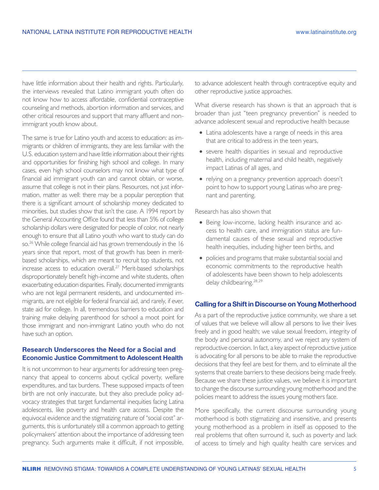have little information about their health and rights. Particularly, the interviews revealed that Latino immigrant youth often do not know how to access affordable, confidential contraceptive counseling and methods, abortion information and services, and other critical resources and support that many affluent and nonimmigrant youth know about.

The same is true for Latino youth and access to education: as immigrants or children of immigrants, they are less familiar with the U.S. education system and have little information about their rights and opportunities for finishing high school and college. In many cases, even high school counselors may not know what type of financial aid immigrant youth can and cannot obtain, or worse, assume that college is not in their plans. Resources, not just information, matter as well: there may be a popular perception that there is a significant amount of scholarship money dedicated to minorities, but studies show that isn't the case. A 1994 report by the General Accounting Office found that less than 5% of college scholarship dollars were designated for people of color, not nearly enough to ensure that all Latino youth who want to study can do so.<sup>26</sup> While college financial aid has grown tremendously in the 16 years since that report, most of that growth has been in meritbased scholarships, which are meant to recruit top students, not increase access to education overall.27 Merit-based scholarships disproportionately benefit high-income and white students, often exacerbating education disparities. Finally, documented immigrants who are not legal permanent residents, and undocumented immigrants, are not eligible for federal financial aid, and rarely, if ever, state aid for college. In all, tremendous barriers to education and training make delaying parenthood for school a moot point for those immigrant and non-immigrant Latino youth who do not have such an option.

#### **Research Underscores the Need for a Social and Economic Justice Commitment to Adolescent Health**

It is not uncommon to hear arguments for addressing teen pregnancy that appeal to concerns about cyclical poverty, welfare expenditures, and tax burdens. These supposed impacts of teen birth are not only inaccurate, but they also preclude policy advocacy strategies that target fundamental inequities facing Latina adolescents, like poverty and health care access. Despite the equivocal evidence and the stigmatizing nature of "social cost" arguments, this is unfortunately still a common approach to getting policymakers' attention about the importance of addressing teen pregnancy. Such arguments make it difficult, if not impossible,

to advance adolescent health through contraceptive equity and other reproductive justice approaches.

What diverse research has shown is that an approach that is broader than just "teen pregnancy prevention" is needed to advance adolescent sexual and reproductive health because

- Latina adolescents have a range of needs in this area that are critical to address in the teen years,
- severe health disparities in sexual and reproductive health, including maternal and child health, negatively impact Latinas of all ages, and
- relying on a pregnancy prevention approach doesn't point to how to support young Latinas who are pregnant and parenting.

Research has also shown that

- Being low-income, lacking health insurance and access to health care, and immigration status are fundamental causes of these sexual and reproductive health inequities, including higher teen births, and
- policies and programs that make substantial social and economic commitments to the reproductive health of adolescents have been shown to help adolescents delay childbearing.<sup>28,29</sup>

#### **Calling for a Shift in Discourse on Young Motherhood**

As a part of the reproductive justice community, we share a set of values that we believe will allow all persons to live their lives freely and in good health; we value sexual freedom, integrity of the body and personal autonomy, and we reject any system of reproductive coercion. In fact, a key aspect of reproductive justice is advocating for all persons to be able to make the reproductive decisions that they feel are best for them, and to eliminate all the systems that create barriers to these decisions being made freely. Because we share these justice values, we believe it is important to change the discourse surrounding young motherhood and the policies meant to address the issues young mothers face.

More specifically, the current discourse surrounding young motherhood is both stigmatizing and insensitive, and presents young motherhood as a problem in itself as opposed to the real problems that often surround it, such as poverty and lack of access to timely and high quality health care services and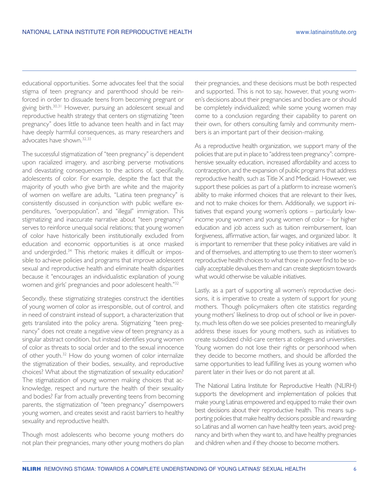educational opportunities. Some advocates feel that the social stigma of teen pregnancy and parenthood should be reinforced in order to dissuade teens from becoming pregnant or giving birth.30,31 However, pursuing an adolescent sexual and reproductive health strategy that centers on stigmatizing "teen pregnancy" does little to advance teen health and in fact may have deeply harmful consequences, as many researchers and advocates have shown.32,33

The successful stigmatization of "teen pregnancy" is dependent upon racialized imagery, and ascribing perverse motivations and devastating consequences to the actions of, specifically, adolescents of color. For example, despite the fact that the majority of youth who give birth are white and the majority of women on welfare are adults, "Latina teen pregnancy" is consistently discussed in conjunction with public welfare expenditures, "overpopulation", and "illegal" immigration. This stigmatizing and inaccurate narrative about "teen pregnancy" serves to reinforce unequal social relations; that young women of color have historically been institutionally excluded from education and economic opportunities is at once masked and undergirded.34 This rhetoric makes it difficult or impossible to achieve policies and programs that improve adolescent sexual and reproductive health and eliminate health disparities because it "encourages an individualistic explanation of young women and girls' pregnancies and poor adolescent health."32

Secondly, these stigmatizing strategies construct the identities of young women of color as irresponsible, out of control, and in need of constraint instead of support, a characterization that gets translated into the policy arena. Stigmatizing "teen pregnancy" does not create a negative view of teen pregnancy as a singular abstract condition, but instead identifies young women of color as threats to social order and to the sexual innocence of other youth.32 How do young women of color internalize the stigmatization of their bodies, sexuality, and reproductive choices? What about the stigmatization of sexuality education? The stigmatization of young women making choices that acknowledge, respect and nurture the health of their sexuality and bodies? Far from actually preventing teens from becoming parents, the stigmatization of "teen pregnancy" disempowers young women, and creates sexist and racist barriers to healthy sexuality and reproductive health.

Though most adolescents who become young mothers do not plan their pregnancies, many other young mothers do plan

their pregnancies, and these decisions must be both respected and supported. This is not to say, however, that young women's decisions about their pregnancies and bodies are or should be completely individualized; while some young women may come to a conclusion regarding their capability to parent on their own, for others consulting family and community members is an important part of their decision-making.

As a reproductive health organization, we support many of the policies that are put in place to "address teen pregnancy": comprehensive sexuality education, increased affordability and access to contraception, and the expansion of public programs that address reproductive health, such as Title X and Medicaid. However, we support these policies as part of a platform to increase women's ability to make informed choices that are relevant to their lives, and not to make choices for them. Additionally, we support initiatives that expand young women's options – particularly lowincome young women and young women of color – for higher education and job access such as tuition reimbursement, loan forgiveness, affirmative action, fair wages, and organized labor. It is important to remember that these policy initiatives are valid in and of themselves, and attempting to use them to steer women's reproductive health choices to what those in power find to be socially acceptable devalues them and can create skepticism towards what would otherwise be valuable initiatives.

Lastly, as a part of supporting all women's reproductive decisions, it is imperative to create a system of support for young mothers. Though policymakers often cite statistics regarding young mothers' likeliness to drop out of school or live in poverty, much less often do we see policies presented to meaningfully address these issues for young mothers, such as initiatives to create subsidized child-care centers at colleges and universities. Young women do not lose their rights or personhood when they decide to become mothers, and should be afforded the same opportunities to lead fulfilling lives as young women who parent later in their lives or do not parent at all.

The National Latina Institute for Reproductive Health (NLIRH) supports the development and implementation of policies that make young Latinas empowered and equipped to make their own best decisions about their reproductive health. This means supporting policies that make healthy decisions possible and rewarding so Latinas and all women can have healthy teen years, avoid pregnancy and birth when they want to, and have healthy pregnancies and children when and if they choose to become mothers.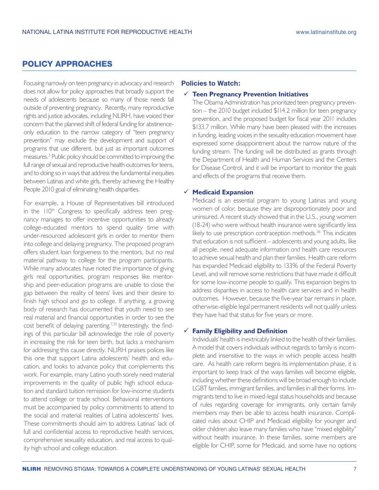## POLICY APPROACHES

Focusing narrowly on teen pregnancy in advocacy and research does not allow for policy approaches that broadly support the needs of adolescents because so many of those needs fall outside of preventing pregnancy. Recently, many reproductive rights and justice advocates, including NLIRH, have voiced their concern that the planned shift of federal funding for abstinenceonly education to the narrow category of "teen pregnancy prevention" may exclude the development and support of programs that use different, but just as important outcomes measures.3 Public policy should be committed to improving the full range of sexual and reproductive health outcomes for teens, and to doing so in ways that address the fundamental inequities between Latinas and white girls, thereby achieving the Healthy People 2010 goal of eliminating health disparities.

For example, a House of Representatives bill introduced in the 110<sup>th</sup> Congress to specifically address teen pregnancy manages to offer incentive opportunities to already college-educated mentors to spend quality time with under-resourced adolescent girls in order to mentor them into college and delaying pregnancy. The proposed program offers student loan forgiveness to the mentors, but no real material pathway to college for the program participants. While many advocates have noted the importance of giving girls real opportunities, program responses like mentorship and peer-education programs are unable to close the gap between the reality of teens' lives and their desire to finish high school and go to college. If anything, a growing body of research has documented that youth need to see real material and financial opportunities in order to see the cost benefit of delaying parenting.<sup>7,35</sup> Interestingly, the findings of this particular bill acknowledge the role of poverty in increasing the risk for teen birth, but lacks a mechanism for addressing this cause directly. NLIRH praises polices like this one that support Latina adolescents' health and education, and looks to advance policy that complements this work. For example, many Latino youth sorely need material improvements in the quality of public high school education and standard tuition remission for low-income students to attend college or trade school. Behavioral interventions must be accompanied by policy commitments to attend to the social and material realities of Latina adolescents' lives. These commitments should aim to address Latinas' lack of full and confidential access to reproductive health services, comprehensive sexuality education, and real access to quality high school and college education.

#### **Policies to Watch:**

#### **Teen Pregnancy Prevention Initiatives**

The Obama Administration has prioritized teen pregnancy prevention – the 2010 budget included \$114.2 million for teen pregnancy prevention, and the proposed budget for fiscal year 2011 includes \$133.7 million. While many have been pleased with the increases in funding, leading voices in the sexuality education movement have expressed some disappointment about the narrow nature of the funding stream. The funding will be distributed as grants through the Department of Health and Human Services and the Centers for Disease Control, and it will be important to monitor the goals and effects of the programs that receive them.

#### **Medicaid Expansion**

Medicaid is an essential program to young Latinas and young women of color, because they are disproportionately poor and uninsured. A recent study showed that in the U.S., young women (18-24) who were without health insurance were significantly less likely to use prescription contraception methods.<sup>36</sup> This indicates that education is not sufficient – adolescents and young adults, like all people, need adequate information *and* health care resources to achieve sexual health and plan their families. Health care reform has expanded Medicaid eligibility to 133% of the Federal Poverty Level, and will remove some restrictions that have made it difficult for some low-income people to qualify. This expansion begins to address disparities in access to health care services and in health outcomes. However, because the five-year bar remains in place, otherwise-eligible legal permanent residents will not qualify unless they have had that status for five years or more.

#### **Family Eligibility and Definition**

Individuals' health is inextricably linked to the health of their families. A model that covers individuals without regards to family is incomplete and insensitive to the ways in which people access health care. As health care reform begins its implementation phase, it is important to keep track of the ways families will become eligible, including whether these definitions will be broad enough to include LGBT families, immigrant families, and families in all their forms. Immigrants tend to live in mixed-legal status households and because of rules regarding coverage for immigrants, only certain family members may then be able to access health insurance. Complicated rules about CHIP and Medicaid eligibility for younger and older children also leave many families who have "mixed eligibility" without health insurance. In these families, some members are eligible for CHIP, some for Medicaid, and some have no options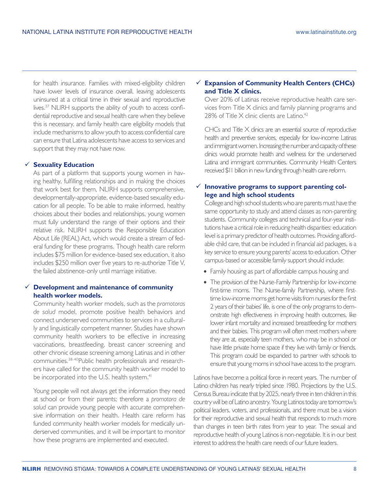for health insurance. Families with mixed-eligibility children have lower levels of insurance overall, leaving adolescents uninsured at a critical time in their sexual and reproductive lives.37 NLIRH supports the ability of youth to access confidential reproductive and sexual health care when they believe this is necessary, and family health care eligibility models that include mechanisms to allow youth to access confidential care can ensure that Latina adolescents have access to services and support that they may not have now.

#### **Sexuality Education**

As part of a platform that supports young women in having healthy, fulfilling relationships and in making the choices that work best for them, NLIRH supports comprehensive, developmentally-appropriate, evidence-based sexuality education for all people. To be able to make informed, healthy choices about their bodies and relationships, young women must fully understand the range of their options and their relative risk. NLIRH supports the Responsible Education About Life (REAL) Act, which would create a stream of federal funding for these programs. Though health care reform includes \$75 million for evidence-based sex education, it also includes \$250 million over five years to re-authorize Title V, the failed abstinence-only until marriage initiative.

## **Development and maintenance of community health worker models.**

Community health worker models, such as the *promotoras de salud* model, promote positive health behaviors and connect underserved communities to services in a culturally and linguistically competent manner. Studies have shown community health workers to be effective in increasing vaccinations, breastfeeding, breast cancer screening and other chronic disease screening among Latinas and in other communities.38-40Public health professionals and researchers have called for the community health worker model to be incorporated into the U.S. health system.<sup>41</sup>

Young people will not always get the information they need at school or from their parents; therefore a *promotora de salud* can provide young people with accurate comprehensive information on their health. Health care reform has funded community health worker models for medically underserved communities, and it will be important to monitor how these programs are implemented and executed.

## **Expansion of Community Health Centers (CHCs) and Title X clinics.**

Over 20% of Latinas receive reproductive health care services from Title X clinics and family planning programs and 28% of Title  $\times$  clinic clients are Latino.<sup>42</sup>

CHCs and Title X clinics are an essential source of reproductive health and preventive services, especially for low-income Latinas and immigrant women. Increasing the number and capacity of these clinics would promote health and wellness for the underserved Latina and immigrant communities. Community Health Centers received \$11 billion in new funding through health care reform.

## **Innovative programs to support parenting college and high school students**

College and high school students who are parents must have the same opportunity to study and attend classes as non-parenting students. Community colleges and technical and four-year institutions have a critical role in reducing health disparities: education level is a primary predictor of health outcomes. Providing affordable child care, that can be included in financial aid packages, is a key service to ensure young parents' access to education. Other campus-based or accessible family support should include:

- Family housing as part of affordable campus housing and
- The provision of the Nurse-Family Partnership for low-income first-time moms. The Nurse-family Partnership, where firsttime low-income moms get home visits from nurses for the first 2 years of their babies' life, is one of the only programs to demonstrate high effectiveness in improving health outcomes, like lower infant mortality and increased breastfeeding for mothers and their babies. This program will often meet mothers where they are at, especially teen mothers, who may be in school or have little private home space if they live with family or friends. This program could be expanded to partner with schools to ensure that young moms in school have access to the program.

Latinos have become a political force in recent years. The number of Latino children has nearly tripled since 1980. Projections by the U.S. Census Bureau indicate that by 2025, nearly three in ten children in this country will be of Latino ancestry. Young Latinos today are tomorrow's political leaders, voters, and professionals, and there must be a vision for their reproductive and sexual health that responds to much more than changes in teen birth rates from year to year. The sexual and reproductive health of young Latinos is non-negotiable. It is in our best interest to address the health care needs of our future leaders.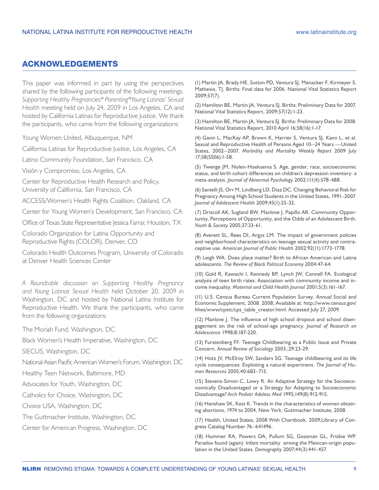## ACKNOWLEDGEMENTS

This paper was informed in part by using the perspectives shared by the following participants of the following meetings. *Supporting Healthy Pregnancies\* Parenting\*Young Latinas' Sexual Health* meeting held on July 24, 2009 in Los Angeles, CA and hosted by California Latinas for Reproductive Justice. We thank the participants, who came from the following organizations:

Young Women United, Albuquerque, NM

California Latinas for Reproductive Justice, Los Angeles, CA

Latino Community Foundation, San Francisco, CA

Visión y Compromiso, Los Angeles, CA

Center for Reproductive Health Research and Policy,

University of California, San Francisco, CA

ACCESS/Women's Health Rights Coalition, Oakland, CA

Center for Young Women's Development, San Francisco, CA

Office of Texas State Representative Jessica Farrar, Houston, TX

Colorado Organization for Latina Opportunity and Reproductive Rights (COLOR), Denver, CO

Colorado Health Outcomes Program, University of Colorado at Denver Health Sciences Center

*A Roundtable discussion on Supporting Healthy Pregnancy and Young Latinas Sexual Health* held October 20, 2009 in Washington, DC and hosted by National Latina Institute for Reproductive Health. We thank the participants, who came from the following organizations:

The Moriah Fund, Washington, DC

Black Women's Health Imperative, Washington, DC

SIECUS, Washington, DC

National Asian Pacific American Women's Forum, Washington, DC

Healthy Teen Network, Baltimore, MD

Advocates for Youth, Washington, DC

Catholics for Choice, Washington, DC

Choice USA, Washington, DC

The Guttmacher Institute, Washington, DC

Center for American Progress, Washington, DC

(1) Martin JA, Brady HE, Sutton PD, Ventura SJ, Menacker F, Kirmeyer S, Mathews, TJ. Births: Final data for 2006. National Vital Statistics Report 2009;57(7).

(2) Hamilton BE, Martin JA, Ventura SJ. Births: Preliminary Data for 2007. National Vital Statistics Report, 2009;57(12):1-23.

(3) Hamilton BE, Martin JA, Ventura SJ. Births: Preliminary Data for 2008. National Vital Statistics Report, 2010 April 16;58(16):1-17.

(4) Gavin L, MacKay AP, Brown K, Harrier S, Ventura SJ, Kann L, et al. Sexual and Reproductive Health of Persons Aged 10--24 Years ---United States, 2002--2007. *Morbidity and Mortality Weekly Report* 2009 July 17;58(SS06):1-58.

(5) Twenge JM, Nolen-Hoeksema S. Age, gender, race, socioeconomic status, and birth cohort differences on children's depression inventory: a meta-analysis. *Journal of Abnormal Pyschology* 2002;111(4):578-488.

(6) Santelli JS, Orr M, Lindberg LD, Diaz DC. Changing Behavioral Risk for Pregnancy Among High School Students in the United States, 1991–2007. *Journal of Adolescent Health* 2009;45(1):25-32.

(7) Driscoll AK, Sugland BW, Manlove J, Papillo AR. Community Opportunity, Perceptions of Opportunity, and the Odds of an Adolescent Birth. *Youth & Society* 2005;37:33-61.

(8) Averett SL, Rees DI, Argys LM. The impact of government policies and neighborhood characteristics on teenage sexual activity and contraceptive use. *American Journal of Public Health* 2002;92(11):1773-1778.

(9) Leigh WA. Does place matter? Birth to African American and Latina adolescents. *The Review of Black Political Economy* 2004:47-64.

(10) Gold R, Kawachi I, Kennedy BP, Lynch JW, Connell FA. Ecological analysis of teen birth rates: Association with community income and income inequality. *Maternal and Child Health Journal* 2001;5(3):161-167.

(11) U.S. Census Bureau Current Population Survey, Annual Social and Economic Supplement, 2008. 2008; Available at: http://www.census.gov/ hhes/www/cpstc/cps\_table\_creator.html. Accessed July 27, 2009.

(12) Manlove J. The influence of high school dropout and school disengagement on the risk of school-age pregnancy. *Journal of Research on Adolescence* 1998;8:187-220.

(13) Furstenberg FF. Teenage Childbearing as a Public Issue and Private Concern. *Annual Review of Sociology* 2003.;29:23-29.

(14) Hotz JV, McElroy SW, Sanders SG. Teenage childbearing and its life cycle consequences: Exploiting a natural experiment. *The Journal of Human Resources* 2005;40:683–715.

(15) Stevens-Simon C, Lowy R. An Adaptive Strategy for the Socioeconomically Disadvantaged or a Strategy for Adapting to Socioeconomic Disadvantage? *Arch Pediatr Adolesc Med* 1995;149(8):912-915.

(16) Henshaw SK, Kost K. Trends in the characteristics of women obtaining abortions, 1974 to 2004, New York: Guttmacher Institute, 2008.

(17) Health, United States, 2008 With Chartbook. 2009;Library of Congress Catalog Number 76–641496.

(18) Hummer RA, Powers DA, Pullum SG, Gossman GL, Frisbie WP. Paradox found (again): Infant mortality among the Mexican-origin population in the United States. *Demography* 2007;44(3):441-457.